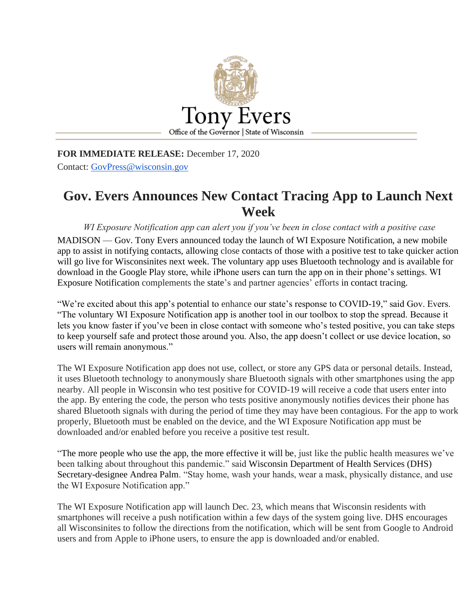

**FOR IMMEDIATE RELEASE:** December 17, 2020 Contact: [GovPress@wisconsin.gov](mailto:GovPress@wisconsin.gov)

## **Gov. Evers Announces New Contact Tracing App to Launch Next Week**

*WI Exposure Notification app can alert you if you've been in close contact with a positive case*

MADISON — Gov. Tony Evers announced today the launch of WI Exposure Notification, a new mobile app to assist in notifying contacts, allowing close contacts of those with a positive test to take quicker action will go live for Wisconsinites next week. The voluntary app uses Bluetooth technology and is available for download in the Google Play store, while iPhone users can turn the app on in their phone's settings. WI Exposure Notification complements the state's and partner agencies' efforts in contact tracing.

"We're excited about this app's potential to enhance our state's response to COVID-19," said Gov. Evers. "The voluntary WI Exposure Notification app is another tool in our toolbox to stop the spread. Because it lets you know faster if you've been in close contact with someone who's tested positive, you can take steps to keep yourself safe and protect those around you. Also, the app doesn't collect or use device location, so users will remain anonymous."

The WI Exposure Notification app does not use, collect, or store any GPS data or personal details. Instead, it uses Bluetooth technology to anonymously share Bluetooth signals with other smartphones using the app nearby. All people in Wisconsin who test positive for COVID-19 will receive a code that users enter into the app. By entering the code, the person who tests positive anonymously notifies devices their phone has shared Bluetooth signals with during the period of time they may have been contagious. For the app to work properly, Bluetooth must be enabled on the device, and the WI Exposure Notification app must be downloaded and/or enabled before you receive a positive test result.

"The more people who use the app, the more effective it will be, just like the public health measures we've been talking about throughout this pandemic." said Wisconsin Department of Health Services (DHS) Secretary-designee Andrea Palm. "Stay home, wash your hands, wear a mask, physically distance, and use the WI Exposure Notification app."

The WI Exposure Notification app will launch Dec. 23, which means that Wisconsin residents with smartphones will receive a push notification within a few days of the system going live. DHS encourages all Wisconsinites to follow the directions from the notification, which will be sent from Google to Android users and from Apple to iPhone users, to ensure the app is downloaded and/or enabled.